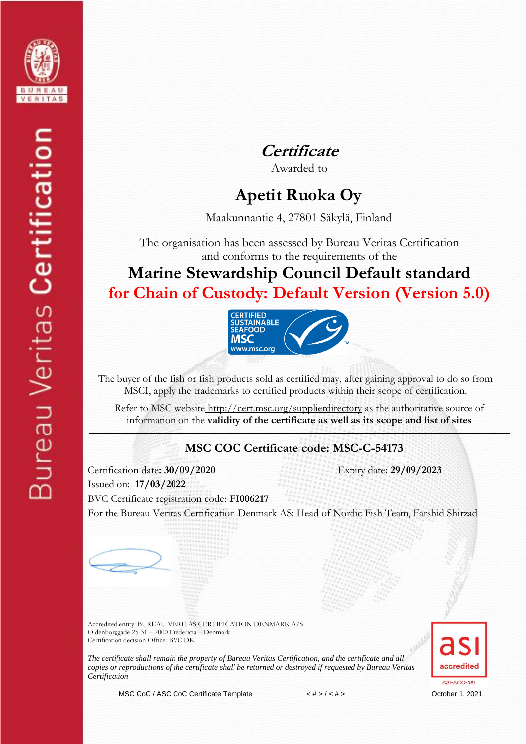



Awarded to

## **Apetit Ruoka Oy**

Maakunnantie 4, 27801 Säkylä, Finland

The organisation has been assessed by Bureau Veritas Certification and conforms to the requirements of the

**Marine Stewardship Council Default standard for Chain of Custody: Default Version (Version 5.0)**



The buyer of the fish or fish products sold as certified may, after gaining approval to do so from MSCI, apply the trademarks to certified products within their scope of certification.

Refer to MSC website http://cert.msc.org/supplierdirectory as the authoritative source of information on the **validity of the certificate as well as its scope and list of sites**

## **MSC COC Certificate code: MSC-C-54173**

Certification date**: 30/09/2020** Expiry date: **29/09/2023** Issued on: **17/03/2022** BVC Certificate registration code: **FI006217** For the Bureau Veritas Certification Denmark AS: Head of Nordic Fish Team, Farshid Shirzad

Accredited entity: BUREAU VERITAS CERTIFICATION DENMARK A/S Oldenborggade 25-31 – 7000 Fredericia – Denmark Certification decision Office: BVC DK

*The certificate shall remain the property of Bureau Veritas Certification, and the certificate and all copies or reproductions of the certificate shall be returned or destroyed if requested by Bureau Veritas Certification*